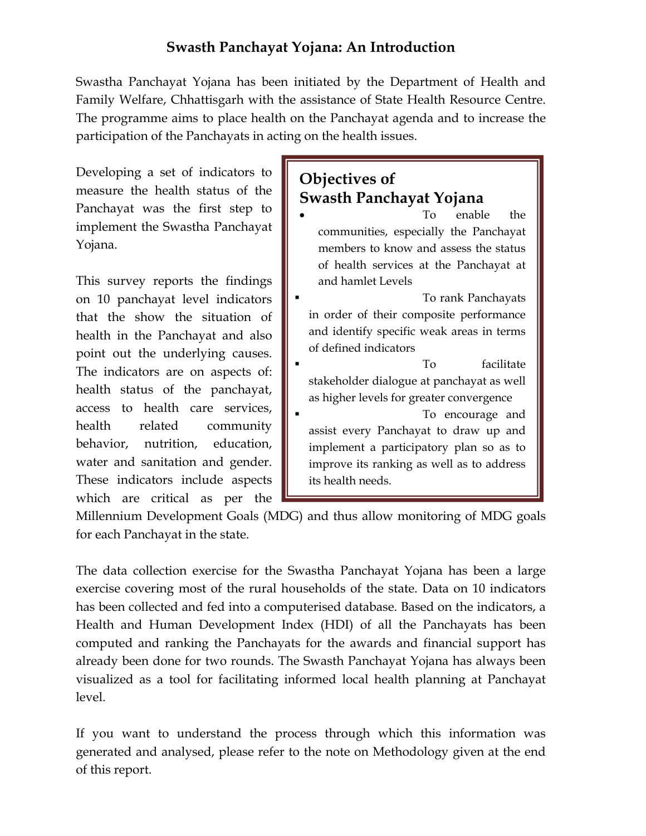# **Swasth Panchayat Yojana: An Introduction**

Swastha Panchayat Yojana has been initiated by the Department of Health and Family Welfare, Chhattisgarh with the assistance of State Health Resource Centre. The programme aims to place health on the Panchayat agenda and to increase the participation of the Panchayats in acting on the health issues.

Developing a set of indicators to measure the health status of the Panchayat was the first step to implement the Swastha Panchayat Yojana.

This survey reports the findings on 10 panchayat level indicators that the show the situation of health in the Panchayat and also point out the underlying causes. The indicators are on aspects of: health status of the panchayat, access to health care services, health related community behavior, nutrition, education, water and sanitation and gender. These indicators include aspects which are critical as per the

# **Objectives of Swasth Panchayat Yojana**

- To enable the communities, especially the Panchayat members to know and assess the status of health services at the Panchayat at and hamlet Levels **To rank Panchayats** in order of their composite performance
- and identify specific weak areas in terms of defined indicators
- **To** facilitate stakeholder dialogue at panchayat as well as higher levels for greater convergence
- To encourage and assist every Panchayat to draw up and implement a participatory plan so as to improve its ranking as well as to address its health needs.

Millennium Development Goals (MDG) and thus allow monitoring of MDG goals for each Panchayat in the state.

The data collection exercise for the Swastha Panchayat Yojana has been a large exercise covering most of the rural households of the state. Data on 10 indicators has been collected and fed into a computerised database. Based on the indicators, a Health and Human Development Index (HDI) of all the Panchayats has been computed and ranking the Panchayats for the awards and financial support has already been done for two rounds. The Swasth Panchayat Yojana has always been visualized as a tool for facilitating informed local health planning at Panchayat level.

If you want to understand the process through which this information was generated and analysed, please refer to the note on Methodology given at the end of this report.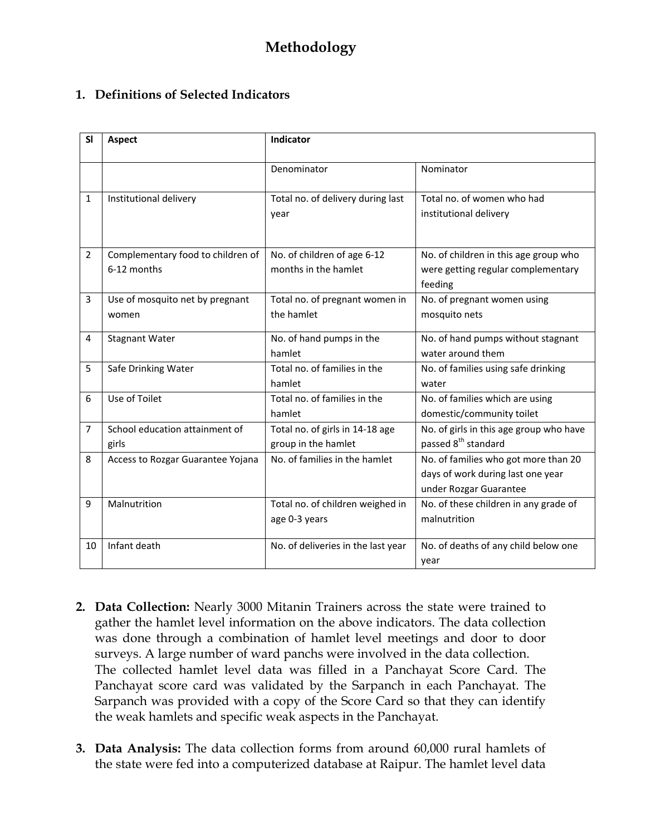## **1. Definitions of Selected Indicators**

| <b>SI</b>      | <b>Aspect</b>                     | Indicator                          |                                         |
|----------------|-----------------------------------|------------------------------------|-----------------------------------------|
|                |                                   |                                    |                                         |
|                |                                   | Denominator                        | Nominator                               |
|                |                                   |                                    |                                         |
| 1              | Institutional delivery            | Total no. of delivery during last  | Total no. of women who had              |
|                |                                   | year                               | institutional delivery                  |
|                |                                   |                                    |                                         |
| $\overline{2}$ | Complementary food to children of | No. of children of age 6-12        | No. of children in this age group who   |
|                | 6-12 months                       | months in the hamlet               |                                         |
|                |                                   |                                    | were getting regular complementary      |
|                |                                   |                                    | feeding                                 |
| 3              | Use of mosquito net by pregnant   | Total no. of pregnant women in     | No. of pregnant women using             |
|                | women                             | the hamlet                         | mosquito nets                           |
| 4              | <b>Stagnant Water</b>             | No. of hand pumps in the           | No. of hand pumps without stagnant      |
|                |                                   | hamlet                             | water around them                       |
| 5              | Safe Drinking Water               | Total no. of families in the       | No. of families using safe drinking     |
|                |                                   | hamlet                             | water                                   |
| 6              | Use of Toilet                     | Total no. of families in the       | No. of families which are using         |
|                |                                   | hamlet                             | domestic/community toilet               |
| $\overline{7}$ | School education attainment of    | Total no. of girls in 14-18 age    | No. of girls in this age group who have |
|                | girls                             | group in the hamlet                | passed 8 <sup>th</sup> standard         |
| 8              | Access to Rozgar Guarantee Yojana | No. of families in the hamlet      | No. of families who got more than 20    |
|                |                                   |                                    | days of work during last one year       |
|                |                                   |                                    | under Rozgar Guarantee                  |
| 9              | Malnutrition                      | Total no. of children weighed in   | No. of these children in any grade of   |
|                |                                   | age 0-3 years                      | malnutrition                            |
|                |                                   |                                    |                                         |
| 10             | Infant death                      | No. of deliveries in the last year | No. of deaths of any child below one    |
|                |                                   |                                    | year                                    |

- **2. Data Collection:** Nearly 3000 Mitanin Trainers across the state were trained to gather the hamlet level information on the above indicators. The data collection was done through a combination of hamlet level meetings and door to door surveys. A large number of ward panchs were involved in the data collection. The collected hamlet level data was filled in a Panchayat Score Card. The Panchayat score card was validated by the Sarpanch in each Panchayat. The Sarpanch was provided with a copy of the Score Card so that they can identify the weak hamlets and specific weak aspects in the Panchayat.
- **3. Data Analysis:** The data collection forms from around 60,000 rural hamlets of the state were fed into a computerized database at Raipur. The hamlet level data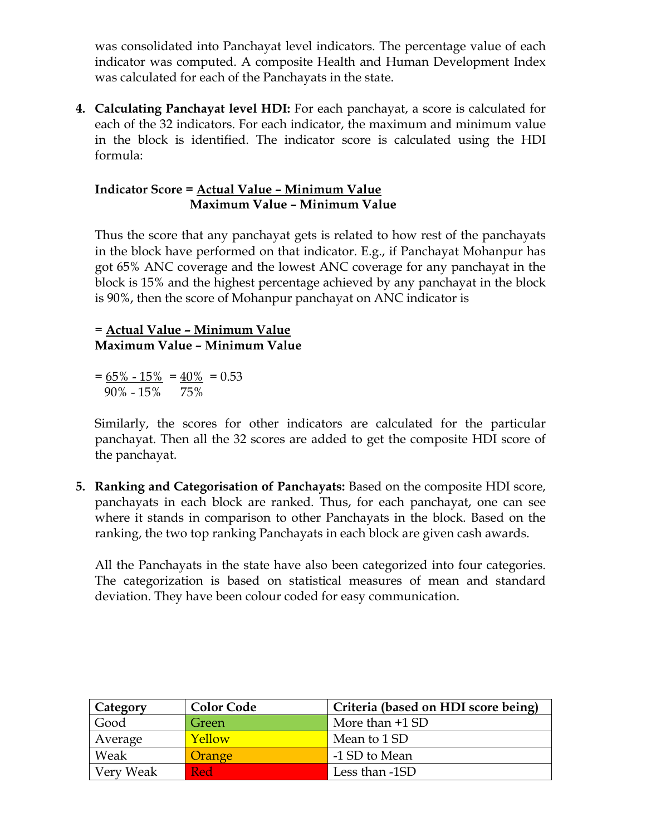was consolidated into Panchayat level indicators. The percentage value of each indicator was computed. A composite Health and Human Development Index was calculated for each of the Panchayats in the state.

**4. Calculating Panchayat level HDI:** For each panchayat, a score is calculated for each of the 32 indicators. For each indicator, the maximum and minimum value in the block is identified. The indicator score is calculated using the HDI formula:

#### **Indicator Score = Actual Value – Minimum Value Maximum Value – Minimum Value**

Thus the score that any panchayat gets is related to how rest of the panchayats in the block have performed on that indicator. E.g., if Panchayat Mohanpur has got 65% ANC coverage and the lowest ANC coverage for any panchayat in the block is 15% and the highest percentage achieved by any panchayat in the block is 90%, then the score of Mohanpur panchayat on ANC indicator is

## = **Actual Value – Minimum Value Maximum Value – Minimum Value**

 $= 65\% - 15\% = 40\% = 0.53$ 90% - 15% 75%

Similarly, the scores for other indicators are calculated for the particular panchayat. Then all the 32 scores are added to get the composite HDI score of the panchayat.

**5. Ranking and Categorisation of Panchayats:** Based on the composite HDI score, panchayats in each block are ranked. Thus, for each panchayat, one can see where it stands in comparison to other Panchayats in the block. Based on the ranking, the two top ranking Panchayats in each block are given cash awards.

All the Panchayats in the state have also been categorized into four categories. The categorization is based on statistical measures of mean and standard deviation. They have been colour coded for easy communication.

| Category  | <b>Color Code</b> | Criteria (based on HDI score being) |
|-----------|-------------------|-------------------------------------|
| Good      | Green             | More than $+1$ SD                   |
| Average   | Yellow            | Mean to 1 SD                        |
| Weak      | Orange            | -1 SD to Mean                       |
| Very Weak | Red               | Less than -1SD                      |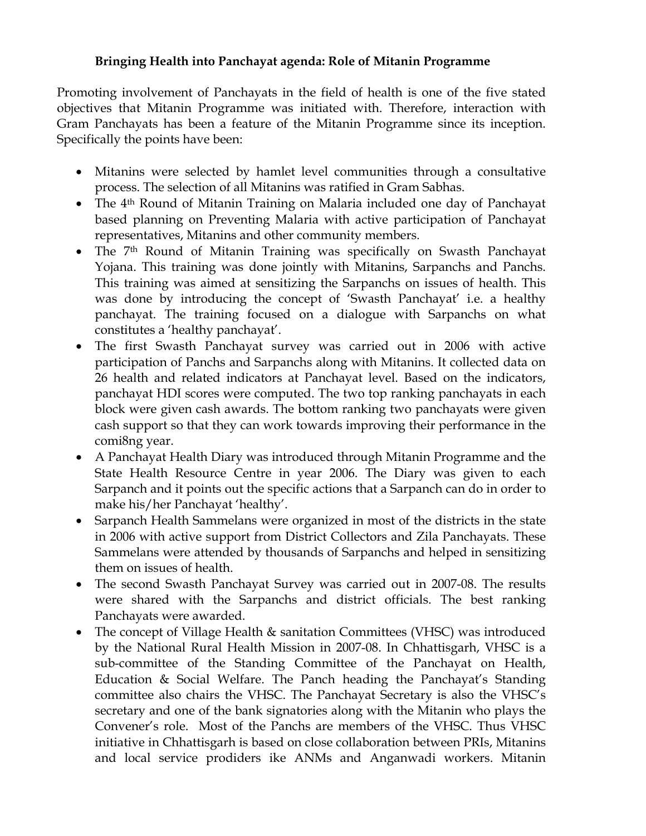### **Bringing Health into Panchayat agenda: Role of Mitanin Programme**

Promoting involvement of Panchayats in the field of health is one of the five stated objectives that Mitanin Programme was initiated with. Therefore, interaction with Gram Panchayats has been a feature of the Mitanin Programme since its inception. Specifically the points have been:

- Mitanins were selected by hamlet level communities through a consultative process. The selection of all Mitanins was ratified in Gram Sabhas.
- The 4<sup>th</sup> Round of Mitanin Training on Malaria included one day of Panchayat based planning on Preventing Malaria with active participation of Panchayat representatives, Mitanins and other community members.
- The 7<sup>th</sup> Round of Mitanin Training was specifically on Swasth Panchayat Yojana. This training was done jointly with Mitanins, Sarpanchs and Panchs. This training was aimed at sensitizing the Sarpanchs on issues of health. This was done by introducing the concept of 'Swasth Panchayat' i.e. a healthy panchayat. The training focused on a dialogue with Sarpanchs on what constitutes a 'healthy panchayat'.
- The first Swasth Panchayat survey was carried out in 2006 with active participation of Panchs and Sarpanchs along with Mitanins. It collected data on 26 health and related indicators at Panchayat level. Based on the indicators, panchayat HDI scores were computed. The two top ranking panchayats in each block were given cash awards. The bottom ranking two panchayats were given cash support so that they can work towards improving their performance in the comi8ng year.
- A Panchayat Health Diary was introduced through Mitanin Programme and the State Health Resource Centre in year 2006. The Diary was given to each Sarpanch and it points out the specific actions that a Sarpanch can do in order to make his/her Panchayat 'healthy'.
- Sarpanch Health Sammelans were organized in most of the districts in the state in 2006 with active support from District Collectors and Zila Panchayats. These Sammelans were attended by thousands of Sarpanchs and helped in sensitizing them on issues of health.
- The second Swasth Panchayat Survey was carried out in 2007-08. The results were shared with the Sarpanchs and district officials. The best ranking Panchayats were awarded.
- The concept of Village Health & sanitation Committees (VHSC) was introduced by the National Rural Health Mission in 2007-08. In Chhattisgarh, VHSC is a sub-committee of the Standing Committee of the Panchayat on Health, Education & Social Welfare. The Panch heading the Panchayat's Standing committee also chairs the VHSC. The Panchayat Secretary is also the VHSC's secretary and one of the bank signatories along with the Mitanin who plays the Convener's role. Most of the Panchs are members of the VHSC. Thus VHSC initiative in Chhattisgarh is based on close collaboration between PRIs, Mitanins and local service prodiders ike ANMs and Anganwadi workers. Mitanin